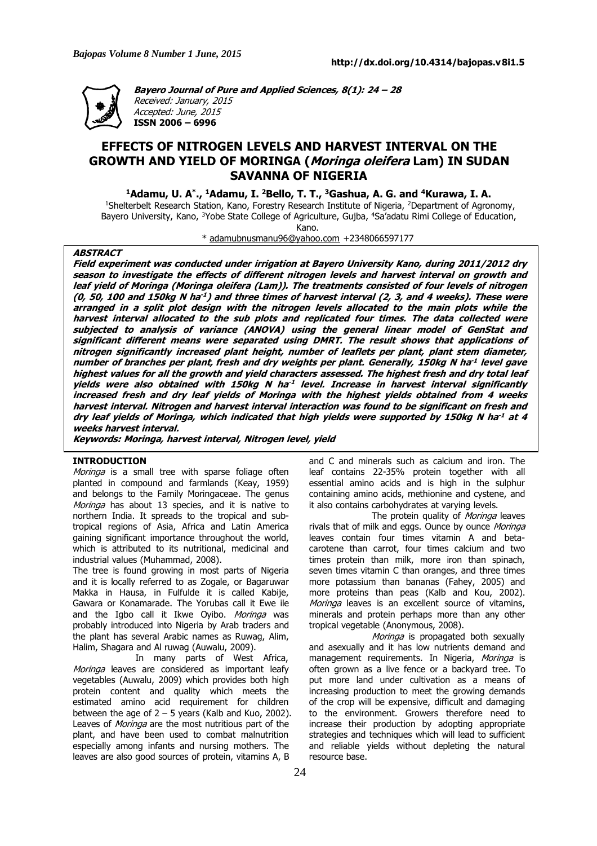

**Bayero Journal of Pure and Applied Sciences, 8(1): 24 – 28** Received: January, 2015 Accepted: June, 2015 **ISSN 2006 – 6996**

## **EFFECTS OF NITROGEN LEVELS AND HARVEST INTERVAL ON THE GROWTH AND YIELD OF MORINGA (Moringa oleifera Lam) IN SUDAN SAVANNA OF NIGERIA**

**<sup>1</sup>Adamu, U. A\* ., <sup>1</sup>Adamu, I. <sup>2</sup>Bello, T. T., <sup>3</sup>Gashua, A. G. and <sup>4</sup>Kurawa, I. A.**

<sup>1</sup>Shelterbelt Research Station, Kano, Forestry Research Institute of Nigeria, <sup>2</sup>Department of Agronomy, Bayero University, Kano, <sup>3</sup>Yobe State College of Agriculture, Gujba, <sup>4</sup>Sa'adatu Rimi College of Education, Kano.

\* adamubnusmanu96@yahoo.com +2348066597177

#### **ABSTRACT**

Field experiment was conducted under irrigation at Bayero University Kano, during 2011/2012 dry season to investigate the effects of different nitrogen levels and harvest interval on growth and leaf yield of Moringa (Moringa oleifera (Lam)). The treatments consisted of four levels of nitrogen (0, 50, 100 and 150kg N ha $^{\text{-}1}$ ) and three times of harvest interval (2, 3, and 4 weeks). These were arranged in a split plot design with the nitrogen levels allocated to the main plots while the harvest interval allocated to the sub plots and replicated four times. The data collected were subjected to analysis of variance (ANOVA) using the general linear model of GenStat and significant different means were separated using DMRT. The result shows that applications of nitrogen significantly increased plant height, number of leaflets per plant, plant stem diameter, number of branches per plant, fresh and dry weights per plant. Generally, 150kg N ha<sup>-1</sup> level gave highest values for all the growth and yield characters assessed. The highest fresh and dry total leaf yields were also obtained with 150kg N ha<sup>-1</sup> level. Increase in harvest interval significantly increased fresh and dry leaf yields of Moringa with the highest yields obtained from 4 weeks harvest interval. Nitrogen and harvest interval interaction was found to be significant on fresh and dry leaf yields of Moringa, which indicated that high yields were supported by 150kg N ha<sup>-1</sup> at 4 **weeks harvest interval.**

**Keywords: Moringa, harvest interval, Nitrogen level, yield**

#### **INTRODUCTION**

Moringa is a small tree with sparse foliage often planted in compound and farmlands (Keay, 1959) and belongs to the Family Moringaceae. The genus Moringa has about 13 species, and it is native to northern India. It spreads to the tropical and subtropical regions of Asia, Africa and Latin America gaining significant importance throughout the world, which is attributed to its nutritional, medicinal and industrial values (Muhammad, 2008).

The tree is found growing in most parts of Nigeria and it is locally referred to as Zogale, or Bagaruwar Makka in Hausa, in Fulfulde it is called Kabije, Gawara or Konamarade. The Yorubas call it Ewe ile and the Igbo call it Ikwe Oyibo. Moringa was probably introduced into Nigeria by Arab traders and the plant has several Arabic names as Ruwag, Alim, Halim, Shagara and Al ruwag (Auwalu, 2009).

In many parts of West Africa, Moringa leaves are considered as important leafy vegetables (Auwalu, 2009) which provides both high protein content and quality which meets the estimated amino acid requirement for children between the age of  $2 - 5$  years (Kalb and Kuo, 2002). Leaves of *Moringa* are the most nutritious part of the plant, and have been used to combat malnutrition especially among infants and nursing mothers. The leaves are also good sources of protein, vitamins A, B

and C and minerals such as calcium and iron. The leaf contains 22-35% protein together with all essential amino acids and is high in the sulphur containing amino acids, methionine and cystene, and it also contains carbohydrates at varying levels.

The protein quality of *Moringa* leaves rivals that of milk and eggs. Ounce by ounce Moringa leaves contain four times vitamin A and betacarotene than carrot, four times calcium and two times protein than milk, more iron than spinach, seven times vitamin C than oranges, and three times more potassium than bananas (Fahey, 2005) and more proteins than peas (Kalb and Kou, 2002). Moringa leaves is an excellent source of vitamins, minerals and protein perhaps more than any other tropical vegetable (Anonymous, 2008).

Moringa is propagated both sexually and asexually and it has low nutrients demand and management requirements. In Nigeria, Moringa is often grown as a live fence or a backyard tree. To put more land under cultivation as a means of increasing production to meet the growing demands of the crop will be expensive, difficult and damaging to the environment. Growers therefore need to increase their production by adopting appropriate strategies and techniques which will lead to sufficient and reliable yields without depleting the natural resource base.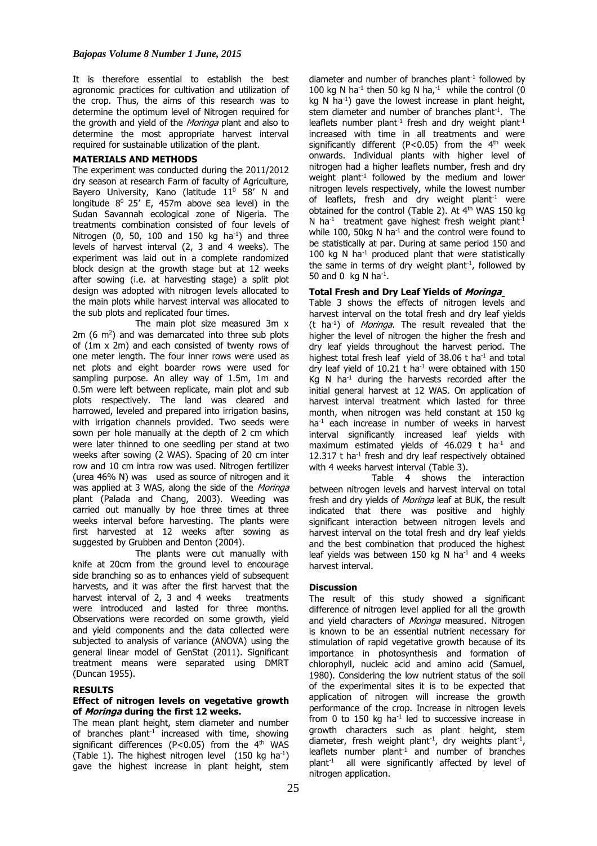It is therefore essential to establish the best agronomic practices for cultivation and utilization of the crop. Thus, the aims of this research was to determine the optimum level of Nitrogen required for the growth and yield of the *Moringa* plant and also to determine the most appropriate harvest interval required for sustainable utilization of the plant.

## **MATERIALS AND METHODS**

The experiment was conducted during the 2011/2012 dry season at research Farm of faculty of Agriculture, Bayero University, Kano (latitude  $11^0$  58' N and longitude  $8^0$  25' E, 457m above sea level) in the Sudan Savannah ecological zone of Nigeria. The treatments combination consisted of four levels of Nitrogen (0, 50, 100 and 150 kg ha $^{-1}$ ) and three levels of harvest interval (2, 3 and 4 weeks). The experiment was laid out in a complete randomized block design at the growth stage but at 12 weeks after sowing (i.e. at harvesting stage) a split plot design was adopted with nitrogen levels allocated to the main plots while harvest interval was allocated to the sub plots and replicated four times.

The main plot size measured 3m x  $2m$  (6  $m<sup>2</sup>$ ) and was demarcated into three sub plots of (1m x 2m) and each consisted of twenty rows of one meter length. The four inner rows were used as net plots and eight boarder rows were used for sampling purpose. An alley way of 1.5m, 1m and 0.5m were left between replicate, main plot and sub plots respectively. The land was cleared and harrowed, leveled and prepared into irrigation basins, with irrigation channels provided. Two seeds were sown per hole manually at the depth of 2 cm which were later thinned to one seedling per stand at two weeks after sowing (2 WAS). Spacing of 20 cm inter row and 10 cm intra row was used. Nitrogen fertilizer (urea 46% N) was used as source of nitrogen and it was applied at 3 WAS, along the side of the Moringa plant (Palada and Chang, 2003). Weeding was carried out manually by hoe three times at three weeks interval before harvesting. The plants were first harvested at 12 weeks after sowing as suggested by Grubben and Denton (2004).

The plants were cut manually with knife at 20cm from the ground level to encourage side branching so as to enhances yield of subsequent harvests, and it was after the first harvest that the harvest interval of 2, 3 and 4 weeks treatments were introduced and lasted for three months. Observations were recorded on some growth, yield and yield components and the data collected were subjected to analysis of variance (ANOVA) using the general linear model of GenStat (2011). Significant treatment means were separated using DMRT (Duncan 1955).

### **RESULTS**

#### **Effect of nitrogen levels on vegetative growth of Moringa during the first 12 weeks.**

The mean plant height, stem diameter and number of branches plant<sup>-1</sup> increased with time, showing significant differences (P<0.05) from the  $4<sup>th</sup>$  WAS (Table 1). The highest nitrogen level  $(150 \text{ kg ha}^{-1})$ gave the highest increase in plant height, stem diameter and number of branches plant<sup>-1</sup> followed by 100 kg N ha<sup>-1</sup> then 50 kg N ha, $^{-1}$  while the control (0 kg N ha<sup>-1</sup>) gave the lowest increase in plant height, stem diameter and number of branches plant $^{-1}$ . The leaflets number plant<sup>-1</sup> fresh and dry weight plant<sup>-1</sup> increased with time in all treatments and were significantly different (P<0.05) from the  $4<sup>th</sup>$  week onwards. Individual plants with higher level of nitrogen had a higher leaflets number, fresh and dry weight plant<sup>-1</sup> followed by the medium and lower nitrogen levels respectively, while the lowest number of leaflets, fresh and dry weight plant<sup>-1</sup> were obtained for the control (Table 2). At 4<sup>th</sup> WAS 150 kg N ha $^{-1}$  treatment gave highest fresh weight plant<sup>-1</sup> while 100, 50kg N ha<sup>-1</sup> and the control were found to be statistically at par. During at same period 150 and 100 kg N ha<sup>-1</sup> produced plant that were statistically the same in terms of dry weight plant<sup>-1</sup>, followed by 50 and 0  $kg$  N ha<sup>-1</sup>.

### **Total Fresh and Dry Leaf Yields of Moringa**

Table 3 shows the effects of nitrogen levels and harvest interval on the total fresh and dry leaf yields (t ha<sup>-1</sup>) of *Moringa*. The result revealed that the higher the level of nitrogen the higher the fresh and dry leaf yields throughout the harvest period. The highest total fresh leaf yield of  $38.06$  t ha<sup>-1</sup> and total dry leaf yield of  $10.21$  t ha<sup>-1</sup> were obtained with  $150$ Kg N ha<sup>-1</sup> during the harvests recorded after the initial general harvest at 12 WAS. On application of harvest interval treatment which lasted for three month, when nitrogen was held constant at 150 kg ha<sup>-1</sup> each increase in number of weeks in harvest interval significantly increased leaf yields with maximum estimated yields of  $46.029$  t ha<sup>-1</sup> and  $12.317$  t ha<sup>-1</sup> fresh and dry leaf respectively obtained with 4 weeks harvest interval (Table 3).

Table 4 shows the interaction between nitrogen levels and harvest interval on total fresh and dry yields of Moringa leaf at BUK, the result indicated that there was positive and highly significant interaction between nitrogen levels and harvest interval on the total fresh and dry leaf yields and the best combination that produced the highest leaf yields was between 150 kg N ha<sup>-1</sup> and 4 weeks harvest interval.

### **Discussion**

The result of this study showed a significant difference of nitrogen level applied for all the growth and yield characters of Moringa measured. Nitrogen is known to be an essential nutrient necessary for stimulation of rapid vegetative growth because of its importance in photosynthesis and formation of chlorophyll, nucleic acid and amino acid (Samuel, 1980). Considering the low nutrient status of the soil of the experimental sites it is to be expected that application of nitrogen will increase the growth performance of the crop. Increase in nitrogen levels from 0 to 150 kg ha<sup>-1</sup> led to successive increase in growth characters such as plant height, stem diameter, fresh weight plant<sup>-1</sup>, dry weights plant<sup>-1</sup>, leaflets number plant-1 and number of branches plant<sup>-1</sup> all were significantly affected by level of nitrogen application.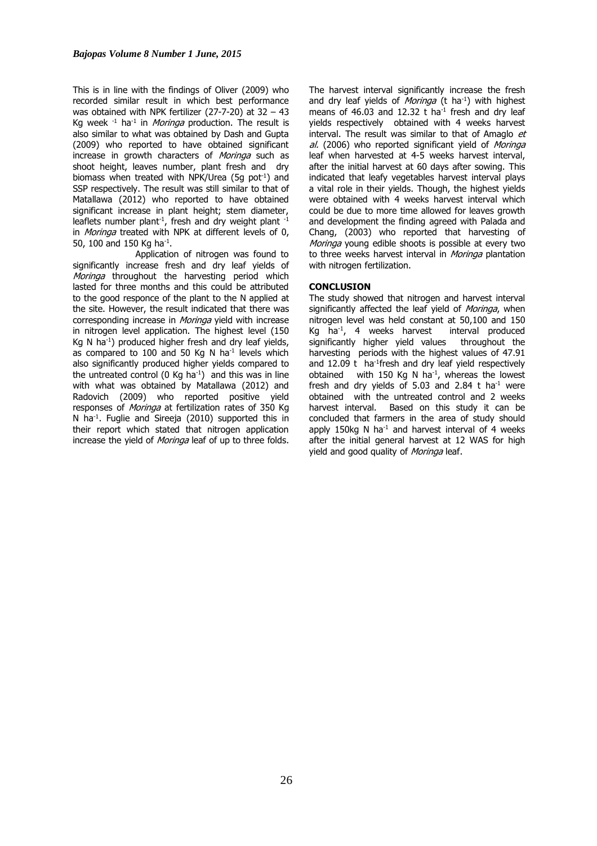This is in line with the findings of Oliver (2009) who recorded similar result in which best performance was obtained with NPK fertilizer (27-7-20) at  $32 - 43$ Kg week  $^{-1}$  ha<sup>-1</sup> in *Moringa* production. The result is also similar to what was obtained by Dash and Gupta (2009) who reported to have obtained significant increase in growth characters of Moringa such as shoot height, leaves number, plant fresh and dry biomass when treated with NPK/Urea (5q pot<sup>-1</sup>) and SSP respectively. The result was still similar to that of Matallawa (2012) who reported to have obtained significant increase in plant height; stem diameter, leaflets number plant<sup>-1</sup>, fresh and dry weight plant<sup>-1</sup> in Moringa treated with NPK at different levels of 0, 50, 100 and 150 Kg ha<sup>-1</sup>.

Application of nitrogen was found to significantly increase fresh and dry leaf yields of Moringa throughout the harvesting period which lasted for three months and this could be attributed to the good responce of the plant to the N applied at the site. However, the result indicated that there was corresponding increase in Moringa yield with increase in nitrogen level application. The highest level (150 Kg N ha-1) produced higher fresh and dry leaf yields, as compared to 100 and 50 Kg N  $ha^{-1}$  levels which also significantly produced higher yields compared to the untreated control  $(0 \text{ Kq} \text{ ha}^{-1})$  and this was in line with what was obtained by Matallawa (2012) and Radovich (2009) who reported positive yield responses of Moringa at fertilization rates of 350 Kg N ha-1. Fuglie and Sireeja (2010) supported this in their report which stated that nitrogen application increase the yield of *Moringa* leaf of up to three folds. The harvest interval significantly increase the fresh and dry leaf yields of *Moringa* ( $t$  ha<sup>-1</sup>) with highest means of 46.03 and 12.32  $t$  ha<sup>-1</sup> fresh and dry leaf yields respectively obtained with 4 weeks harvest interval. The result was similar to that of Amaglo et al. (2006) who reported significant yield of Moringa leaf when harvested at 4-5 weeks harvest interval, after the initial harvest at 60 days after sowing. This indicated that leafy vegetables harvest interval plays a vital role in their yields. Though, the highest yields were obtained with 4 weeks harvest interval which could be due to more time allowed for leaves growth and development the finding agreed with Palada and Chang, (2003) who reported that harvesting of Moringa young edible shoots is possible at every two to three weeks harvest interval in *Moringa* plantation with nitrogen fertilization.

## **CONCLUSION**

The study showed that nitrogen and harvest interval significantly affected the leaf yield of Moringa, when nitrogen level was held constant at 50,100 and 150 Kg ha<sup>-1</sup>, 4 weeks harvest interval produced significantly higher yield values throughout the harvesting periods with the highest values of 47.91 and  $12.09$  t ha<sup>-1</sup>fresh and dry leaf yield respectively obtained with 150 Kg N ha<sup>-1</sup>, whereas the lowest fresh and dry yields of 5.03 and 2.84  $t$  ha<sup>-1</sup> were obtained with the untreated control and 2 weeks harvest interval. Based on this study it can be concluded that farmers in the area of study should apply 150kg N ha<sup>-1</sup> and harvest interval of 4 weeks after the initial general harvest at 12 WAS for high yield and good quality of Moringa leaf.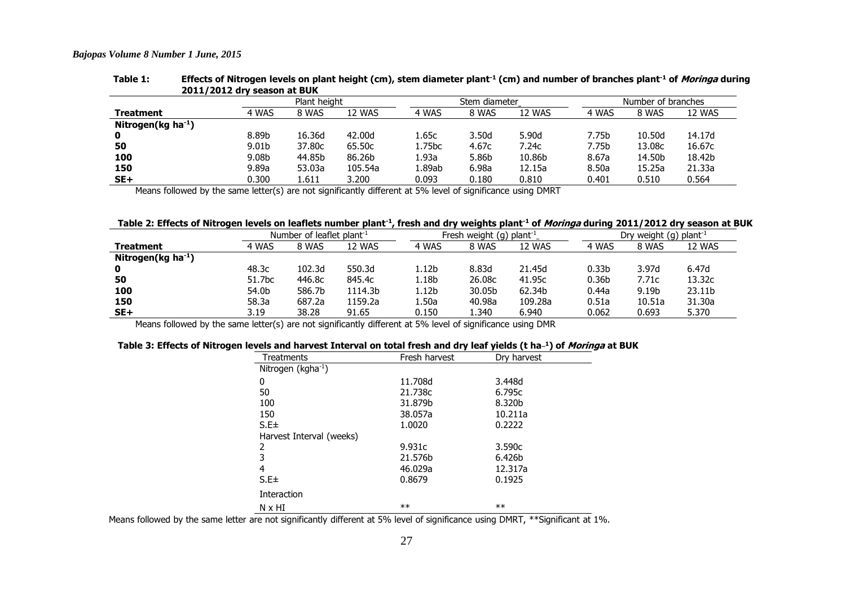#### *Bajopas Volume 8 Number 1 June, 2015*

| 2011/2012 dry season at BUK                                                                                 |       |              |         |        |                   |        |       |                    |        |  |
|-------------------------------------------------------------------------------------------------------------|-------|--------------|---------|--------|-------------------|--------|-------|--------------------|--------|--|
|                                                                                                             |       | Plant height |         |        | Stem diameter     |        |       | Number of branches |        |  |
| <b>Treatment</b>                                                                                            | 4 WAS | 8 WAS        | 12 WAS  | 4 WAS  | 8 WAS             | 12 WAS | 4 WAS | 8 WAS              | 12 WAS |  |
| Nitrogen(kg $ha^{-1}$ )                                                                                     |       |              |         |        |                   |        |       |                    |        |  |
| $\mathbf 0$                                                                                                 | 8.89b | 16.36d       | 42.00d  | 1.65c  | 3.50 <sub>d</sub> | 5.90d  | 7.75b | 10.50d             | 14.17d |  |
| 50                                                                                                          | 9.01b | 37,80c       | 65.50c  | 1.75bc | 4.67c             | 7.24c  | 7.75b | 13.08c             | 16.67c |  |
| 100                                                                                                         | 9.08b | 44.85b       | 86.26b  | 1.93a  | 5.86b             | 10.86b | 8.67a | 14.50b             | 18.42b |  |
| 150                                                                                                         | 9.89a | 53.03a       | 105.54a | l.89ab | 6.98a             | 12.15a | 8.50a | 15.25a             | 21.33a |  |
| $SE+$                                                                                                       | 0.300 | 1.611        | 3.200   | 0.093  | 0.180             | 0.810  | 0.401 | 0.510              | 0.564  |  |
| Magne followed by the same letter(s) are not significantly different at 5% level of significance using DMDT |       |              |         |        |                   |        |       |                    |        |  |

# Table 1: Effects of Nitrogen levels on plant height (cm), stem diameter plant<sup>-1</sup> (cm) and number of branches plant<sup>-1</sup> of *Moringa* during<br>2011/2012 dry season at BLIK

Means followed by the same letter(s) are not significantly different at 5% level of significance using DMRT

## Table 2: Effects of Nitrogen levels on leaflets number plant<sup>-1</sup>, fresh and dry weights plant<sup>-1</sup> of *Moringa* during 2011/2012 dry season at BUK

|                                                                                                            | Number of leaflet plant <sup>-1</sup> |        |         | Fresh weight (g) plant <sup>-1</sup> |        |         | Dry weight (g) plant <sup>-1</sup> |        |                    |
|------------------------------------------------------------------------------------------------------------|---------------------------------------|--------|---------|--------------------------------------|--------|---------|------------------------------------|--------|--------------------|
| <b>Treatment</b>                                                                                           | 4 WAS                                 | 8 WAS  | 12 WAS  | 4 WAS                                | 8 WAS  | 12 WAS  | 4 WAS                              | 8 WAS  | 12 WAS             |
| Nitrogen(kg ha <sup>-1</sup> )                                                                             |                                       |        |         |                                      |        |         |                                    |        |                    |
| 0                                                                                                          | 48.3c                                 | 102.3d | 550.3d  | 12b                                  | 8.83d  | 21.45d  | 0.33 <sub>b</sub>                  | 3.97d  | 6.47d              |
| 50                                                                                                         | 51.7bc                                | 446.8c | 845.4c  | 1.18b                                | 26.08c | 41.95c  | 0.36 <sub>b</sub>                  | 7.71c  | 13.32c             |
| 100                                                                                                        | 54.0b                                 | 586.7b | 1114.3b | 1.12b                                | 30.05b | 62.34b  | 0.44a                              | 9.19b  | 23.11 <sub>b</sub> |
| 150                                                                                                        | 58.3a                                 | 687.2a | 1159.2a | 1.50a                                | 40.98a | 109.28a | 0.51a                              | 10.51a | 31.30a             |
| $SE+$                                                                                                      | 3.19                                  | 38.28  | 91.65   | 0.150                                | 1.340  | 6.940   | 0.062                              | 0.693  | 5.370              |
| Means followed by the same letter(s) are not significantly different at 5% level of significance using DMD |                                       |        |         |                                      |        |         |                                    |        |                    |

Means followed by the same letter(s) are not significantly different at 5% level of significance using DMR

#### Table 3: Effects of Nitrogen levels and harvest Interval on total fresh and dry leaf yields (t ha-1) of Moringa at BUK

| Treatments                                                              | Fresh harvest | Dry harvest            |
|-------------------------------------------------------------------------|---------------|------------------------|
| Nitrogen ( $kgha^{-1}$ )                                                |               |                        |
| 0                                                                       | 11.708d       | 3.448d                 |
| 50                                                                      | 21.738c       | 6.795c                 |
| 100                                                                     | 31.879b       | 8.320b                 |
| 150                                                                     | 38.057a       | 10.211a                |
| S.E±                                                                    | 1.0020        | 0.2222                 |
| Harvest Interval (weeks)                                                |               |                        |
| 2                                                                       | 9.931c        | 3.590c                 |
| 3                                                                       | 21.576b       | 6.426b                 |
| 4                                                                       | 46.029a       | 12.317a                |
| $S.E\pm$                                                                | 0.8679        | 0.1925                 |
| Interaction                                                             |               |                        |
| N x HI                                                                  | $**$          | $**$                   |
| are not cianificantly different at 5% level of cianificance using DMDT. |               | $*$ $K$ Cianificant at |

Means followed by the same letter are not significantly different at 5% level of significance using DMRT, \*\*Significant at 1%.